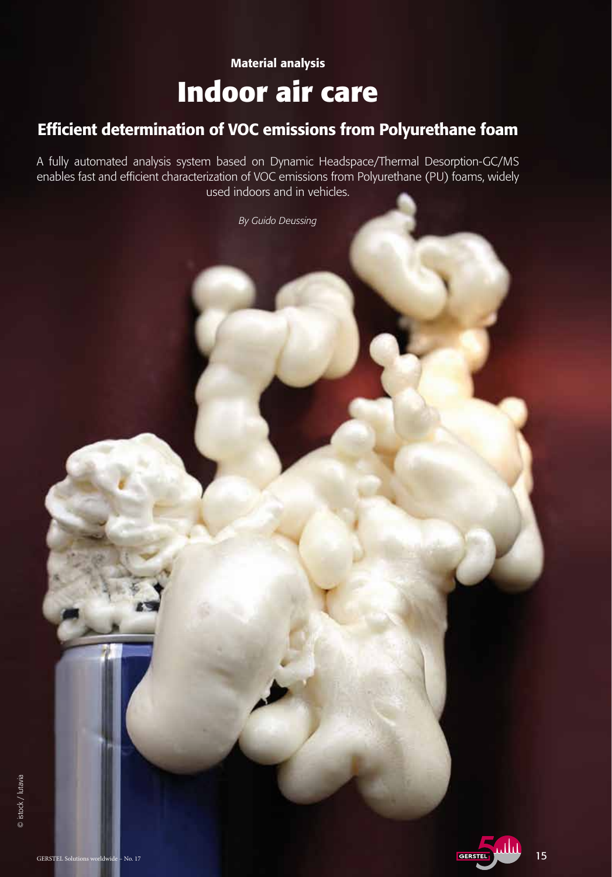# Material analysis **Indoor air care**

## Efficient determination of VOC emissions from Polyurethane foam

A fully automated analysis system based on Dynamic Headspace/Thermal Desorption-GC/MS enables fast and efficient characterization of VOC emissions from Polyurethane (PU) foams, widely used indoors and in vehicles.

*By Guido Deussing*

© istock / lutavia

© istock / lutavia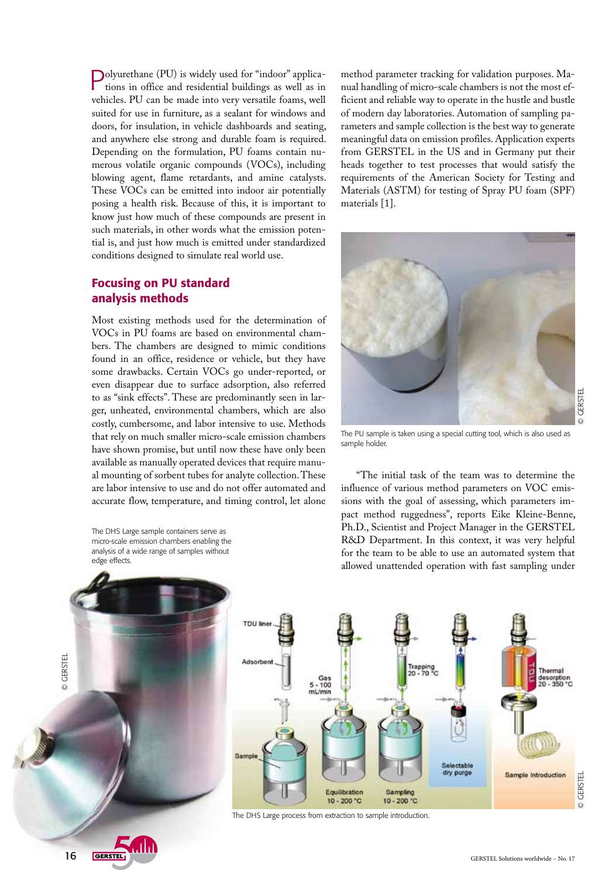Polyurethane (PU) is widely used for "indoor" applications in office and residential buildings as well as in vehicles. PU can be made into very versatile foams, well suited for use in furniture, as a sealant for windows and doors, for insulation, in vehicle dashboards and seating, and anywhere else strong and durable foam is required. Depending on the formulation, PU foams contain numerous volatile organic compounds (VOCs), including blowing agent, flame retardants, and amine catalysts. These VOCs can be emitted into indoor air potentially posing a health risk. Because of this, it is important to know just how much of these compounds are present in such materials, in other words what the emission potential is, and just how much is emitted under standardized conditions designed to simulate real world use.

### Focusing on PU standard analysis methods

Most existing methods used for the determination of VOCs in PU foams are based on environmental chambers. The chambers are designed to mimic conditions found in an office, residence or vehicle, but they have some drawbacks. Certain VOCs go under-reported, or even disappear due to surface adsorption, also referred to as "sink effects". These are predominantly seen in larger, unheated, environmental chambers, which are also costly, cumbersome, and labor intensive to use. Methods that rely on much smaller micro-scale emission chambers have shown promise, but until now these have only been available as manually operated devices that require manual mounting of sorbent tubes for analyte collection. These are labor intensive to use and do not offer automated and accurate flow, temperature, and timing control, let alone

The DHS Large sample containers serve as micro-scale emission chambers enabling the analysis of a wide range of samples without edge effects.



method parameter tracking for validation purposes. Manual handling of micro-scale chambers is not the most efficient and reliable way to operate in the hustle and bustle of modern day laboratories. Automation of sampling parameters and sample collection is the best way to generate meaningful data on emission profiles. Application experts from GERSTEL in the US and in Germany put their heads together to test processes that would satisfy the requirements of the American Society for Testing and Materials (ASTM) for testing of Spray PU foam (SPF) materials [1].



The PU sample is taken using a special cutting tool, which is also used as sample holder.

"The initial task of the team was to determine the influence of various method parameters on VOC emissions with the goal of assessing, which parameters impact method ruggedness", reports Eike Kleine-Benne, Ph.D., Scientist and Project Manager in the GERSTEL R&D Department. In this context, it was very helpful for the team to be able to use an automated system that allowed unattended operation with fast sampling under



The DHS Large process from extraction to sample introduction.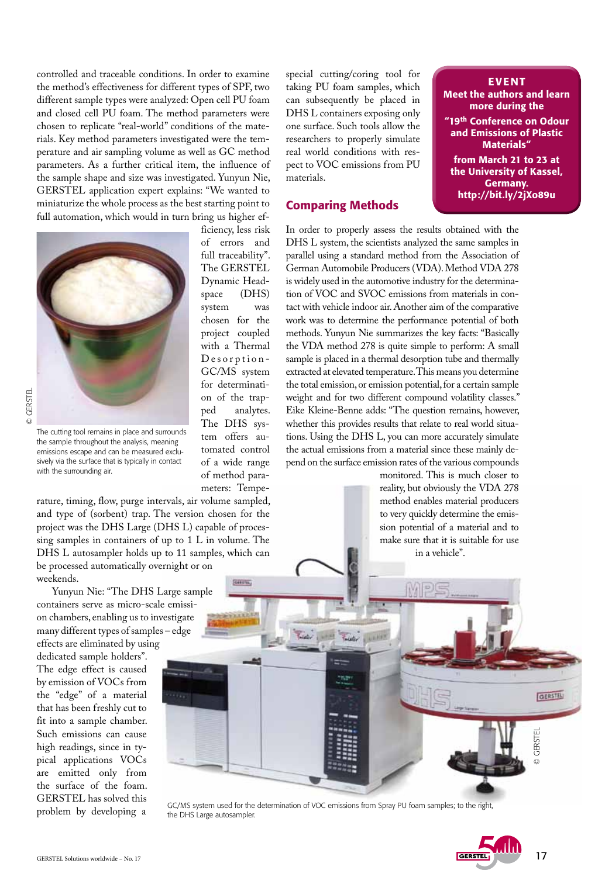controlled and traceable conditions. In order to examine the method's effectiveness for different types of SPF, two different sample types were analyzed: Open cell PU foam and closed cell PU foam. The method parameters were chosen to replicate "real-world" conditions of the materials. Key method parameters investigated were the temperature and air sampling volume as well as GC method parameters. As a further critical item, the influence of the sample shape and size was investigated. Yunyun Nie, GERSTEL application expert explains: "We wanted to miniaturize the whole process as the best starting point to full automation, which would in turn bring us higher efficiency, less risk

> of errors and full traceability". The GERSTEL Dynamic Headspace (DHS) system was chosen for the project coupled with a Thermal Desorption-GC/MS system for determination of the trapped analytes. The DHS system offers automated control of a wide range of method parameters: Tempe-



© GERSTEL © GERSTEL

The cutting tool remains in place and surrounds the sample throughout the analysis, meaning emissions escape and can be measured exclusively via the surface that is typically in contact with the surrounding air.

rature, timing, flow, purge intervals, air volume sampled, and type of (sorbent) trap. The version chosen for the project was the DHS Large (DHS L) capable of processing samples in containers of up to 1 L in volume. The DHS L autosampler holds up to 11 samples, which can be processed automatically overnight or on weekends. Similar

Yunyun Nie: "The DHS Large sample containers serve as micro-scale emission chambers, enabling us to investigate many different types of samples – edge effects are eliminated by using

dedicated sample holders". The edge effect is caused by emission of VOCs from the "edge" of a material that has been freshly cut to fit into a sample chamber. Such emissions can cause high readings, since in typical applications VOCs are emitted only from the surface of the foam. GERSTEL has solved this problem by developing a

special cutting/coring tool for taking PU foam samples, which can subsequently be placed in DHS L containers exposing only one surface. Such tools allow the researchers to properly simulate real world conditions with respect to VOC emissions from PU materials.

#### Comparing Methods

EVENT Meet the authors and learn more during the "19th Conference on Odour and Emissions of Plastic Materials" from March 21 to 23 at the University of Kassel, Germany. http://bit.ly/2jXo89u

In order to properly assess the results obtained with the DHS L system, the scientists analyzed the same samples in parallel using a standard method from the Association of German Automobile Producers (VDA). Method VDA 278 is widely used in the automotive industry for the determination of VOC and SVOC emissions from materials in contact with vehicle indoor air. Another aim of the comparative work was to determine the performance potential of both methods. Yunyun Nie summarizes the key facts: "Basically the VDA method 278 is quite simple to perform: A small sample is placed in a thermal desorption tube and thermally extracted at elevated temperature. This means you determine the total emission, or emission potential, for a certain sample weight and for two different compound volatility classes." Eike Kleine-Benne adds: "The question remains, however, whether this provides results that relate to real world situations. Using the DHS L, you can more accurately simulate the actual emissions from a material since these mainly depend on the surface emission rates of the various compounds

> monitored. This is much closer to reality, but obviously the VDA 278 method enables material producers to very quickly determine the emission potential of a material and to make sure that it is suitable for use in a vehicle".

GC/MS system used for the determination of VOC emissions from Spray PU foam samples; to the right, the DHS Large autosampler.



© GERSTEL

GERSTEL

GERSTEL